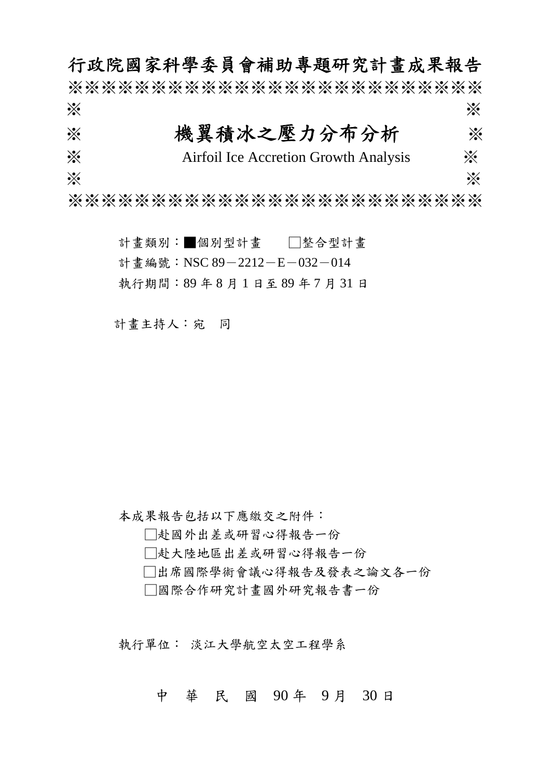行政院國家科學委員會補助專題研究計畫成果報告 ※※※※※※※※※※※※※※※※※※※※※※※※※  $\gg$   $\gg$ ※ 機翼積冰之壓力分布分析 ※ ※ Airfoil Ice Accretion Growth Analysis ※  $\gg$   $\gg$ 

※※※※※※※※※※※※※※※※※※※※※※※※※

計畫類別:■個別型計畫 □整合型計畫 計書編號: NSC 89-2212-E-032-014 執行期間:89 年 8 月 1 日至 89 年 7 月 31 日

計畫主持人:宛 同

本成果報告包括以下應繳交之附件:

□赴國外出差或研習心得報告一份

□赴大陸地區出差或研習心得報告一份

□出席國際學術會議心得報告及發表之論文各一份

□國際合作研究計畫國外研究報告書一份

執行單位: 淡江大學航空太空工程學系

中 華 民 國 90 年 9 月 30 日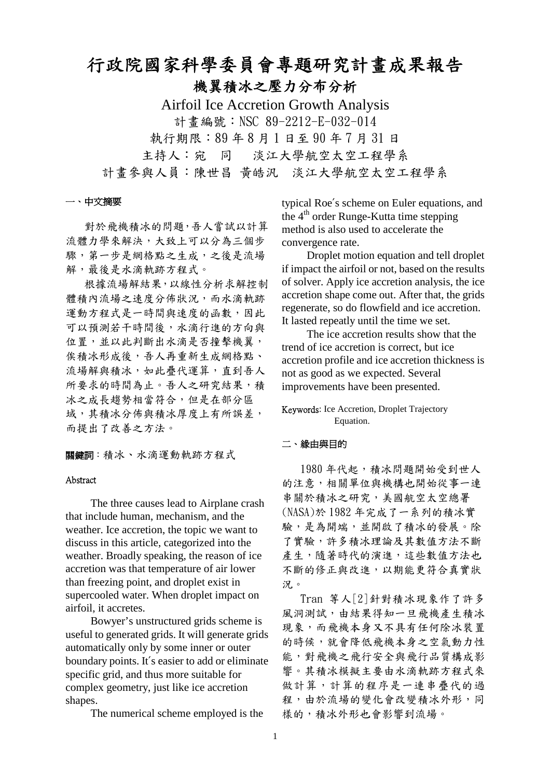# 行政院國家科學委員會專題研究計畫成果報告 機翼積冰之壓力分布分析

Airfoil Ice Accretion Growth Analysis 計書編號: NSC 89-2212-E-032-014 執行期限:89 年 8 月 1 日至 90 年 7 月 31 日 主持人:宛 同 淡江大學航空太空工程學系 計畫參與人員:陳世昌 黃皓汎 淡江大學航空太空工程學系

#### 一、中文摘要

對於飛機積冰的問題,吾人嘗試以計算 流體力學來解決,大致上可以分為三個步 驟,第一步是網格點之生成,之後是流場 解,最後是水滴軌跡方程式。

根據流場解結果,以線性分析求解控制 體積內流場之速度分佈狀況,而水滴軌跡 運動方程式是一時間與速度的函數,因此 可以預測若干時間後,水滴行進的方向與 位置,並以此判斷出水滴是否撞擊機翼, 俟積冰形成後,吾人再重新生成網格點、 流場解與積冰,如此疊代運算,直到吾人 所要求的時間為止。吾人之研究結果,積 冰之成長趨勢相當符合,但是在部分區 域,其積冰分佈與積冰厚度上有所誤差, 而提出了改善之方法。

關鍵詞:積冰、水滴運動軌跡方程式

### Abstract

The three causes lead to Airplane crash that include human, mechanism, and the weather. Ice accretion, the topic we want to discuss in this article, categorized into the weather. Broadly speaking, the reason of ice accretion was that temperature of air lower than freezing point, and droplet exist in supercooled water. When droplet impact on airfoil, it accretes.

Bowyer's unstructured grids scheme is useful to generated grids. It will generate grids automatically only by some inner or outer boundary points. It′s easier to add or eliminate specific grid, and thus more suitable for complex geometry, just like ice accretion shapes.

The numerical scheme employed is the

typical Roe′s scheme on Euler equations, and the 4<sup>th</sup> order Runge-Kutta time stepping method is also used to accelerate the convergence rate.

Droplet motion equation and tell droplet if impact the airfoil or not, based on the results of solver. Apply ice accretion analysis, the ice accretion shape come out. After that, the grids regenerate, so do flowfield and ice accretion. It lasted repeatly until the time we set.

The ice accretion results show that the trend of ice accretion is correct, but ice accretion profile and ice accretion thickness is not as good as we expected. Several improvements have been presented.

## Keywords: Ice Accretion, Droplet Trajectory Equation.

## 二、緣由與目的

1980年代起,積冰問題開始受到世人 的注意,相關單位與機構也開始從事一連 串關於積冰之研究,美國航空太空總署 (NASA)於 1982 年完成了一系列的積冰實 驗,是為開端,並開啟了積冰的發展。除 了實驗,許多積冰理論及其數值方法不斷 產生,隨著時代的演進,這些數值方法也 不斷的修正與改進,以期能更符合真實狀 況。

Tran 等人[2]針對積冰現象作了許多 風洞測試,由結果得知一旦飛機產生積冰 現象,而飛機本身又不具有任何除冰裝置 的時候,就會降低飛機本身之空氣動力性 能,對飛機之飛行安全與飛行品質構成影 響。其積冰模擬主要由水滴軌跡方程式來 做計算,計算的程序是一連串疊代的過 程,由於流場的變化會改變積冰外形,同 樣的,積冰外形也會影響到流場。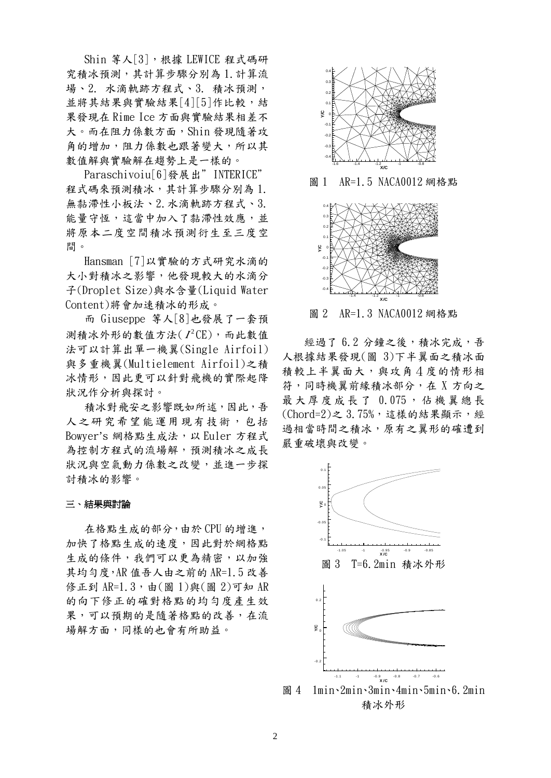Shin 等人[3], 根據 LEWICE 程式碼研 究積冰預測,其計算步驟分別為 1.計算流 場、2. 水滴軌跡方程式、3. 積冰預測, 並將其結果與實驗結果[4][5]作比較,結 果發現在 Rime Ice 方面與實驗結果相差不 大。而在阻力係數方面,Shin 發現隨著攻 角的增加,阻力係數也跟著變大,所以其 數值解與實驗解在趨勢上是一樣的。

Paraschivoiu<sup>[6]</sup>發展出" INTERICE" 程式碼來預測積冰,其計算步驟分別為 1. 無黏滯性小板法、2.水滴軌跡方程式、3. 能量守恆,這當中加入了黏滯性效應,並 將原本二度空間積冰預測衍生至三度空 間。

Hansman [7]以實驗的方式研究水滴的 大小對積冰之影響,他發現較大的水滴分 子(Droplet Size)與水含量(Liquid Water Content)將會加速積冰的形成。

而 Giuseppe 等人[8]也發展了一套預 測積冰外形的數值方法( 2 *<sup>I</sup>* CE),而此數值 法可以計算出單一機翼(Single Airfoil) 與多重機翼(Multielement Airfoil)之積 冰情形,因此更可以針對飛機的實際起降 狀況作分析與探討。

積冰對飛安之影響既如所述,因此,吾 人之研究希望能運用現有技術,包括 Bowyer's 網格點生成法,以 Euler 方程式 為控制方程式的流場解,預測積冰之成長 狀況與空氣動力係數之改變,並進一步探 討積冰的影響。

#### 三、結果與討論

在格點生成的部分,由於 CPU 的增進, 加快了格點生成的速度,因此對於網格點 生成的條件,我們可以更為精密,以加強 其均勻度, AR 值吾人由之前的 AR=1.5 改善 修正到 AR=1.3,由(圖 1)與(圖 2)可知 AR 的向下修正的確對格點的均勻度產生效 果,可以預期的是隨著格點的改善,在流 場解方面,同樣的也會有所助益。



圖 1 AR=1.5 NACA0012 網格點



圖 2 AR=1.3 NACA0012 網格點

經過了6.2分鐘之後,積冰完成,吾 人根據結果發現(圖 3)下半翼面之積冰面 積較上半翼面大,與攻角4度的情形相 符,同時機翼前緣積冰部分,在 X 方向之 最大厚度成長了 0.075 ,佔機翼總長 (Chord=2)之 3.75%,這樣的結果顯示,經 過相當時間之積冰,原有之翼形的確遭到 嚴重破壞與改變。



圖 4 1min、2min、3min、4min、5min、6.2min 積冰外形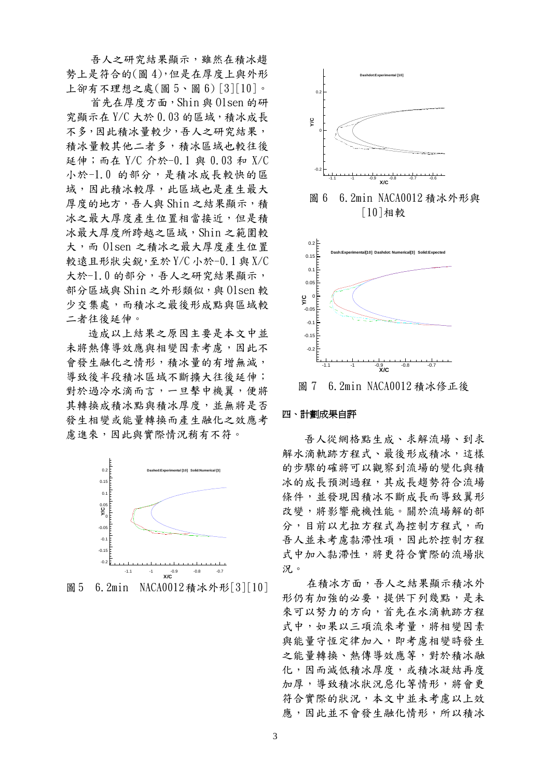吾人之研究結果顯示,雖然在積冰趨 勢上是符合的(圖 4),但是在厚度上與外形 上卻有不理想之處(圖 5、圖 6) [3][10]。

首先在厚度方面,Shin 與 Olsen 的研  $\hat{x}$ 顯示在  $Y/C$  大於  $0.03$  的區域,積冰成長 不多,因此積冰量較少,吾人之研究結果, 積冰量較其他二者多,積冰區域也較往後 延伸;而在 Y/C 介於-0.1 與 0.03 和 X/C 小於-1.0 的部分,是積冰成長較快的區 域,因此積冰較厚,此區域也是產生最大 厚度的地方,吾人與 Shin 之結果顯示,積 冰之最大厚度產生位置相當接近,但是積 冰最大厚度所跨越之區域,Shin 之範圍較 大,而 Olsen 之積冰之最大厚度產生位置 較遠且形狀尖銳,至於 Y/C 小於-0.1 與 X/C 大於-1.0 的部分,吾人之研究結果顯示, 部分區域與 Shin 之外形類似,與 Olsen 較 少交集處,而積冰之最後形成點與區域較 二者往後延伸。

造成以上結果之原因主要是本文中並 未將熱傳導效應與相變因素考慮,因此不 會發生融化之情形,積冰量的有增無減, 導致後半段積冰區域不斷擴大往後延伸; 對於過冷水滴而言,一旦擊中機翼,便將 其轉換成積冰點與積冰厚度,並無將是否 發生相變或能量轉換而產生融化之效應考 慮進來,因此與實際情況稍有不符。



圖5 6.2min NACA0012積冰外形[3][10]



圖 7 6.2min NACA0012 積冰修正後

#### 四、計劃成果自評

吾人從網格點生成、求解流場、到求 解水滴軌跡方程式、最後形成積冰,這樣 的步驟的確將可以觀察到流場的變化與積 冰的成長預測過程,其成長趨勢符合流場 條件,並發現因積冰不斷成長而導致翼形 改變,將影響飛機性能。關於流場解的部 分,目前以尤拉方程式為控制方程式,而 吾人並未考慮黏滯性項,因此於控制方程 式中加入黏滯性,將更符合實際的流場狀 況。

在積冰方面,吾人之結果顯示積冰外 形仍有加強的必要,提供下列幾點,是未 來可以努力的方向,首先在水滴軌跡方程 式中,如果以三項流來考量,將相變因素 與能量守恆定律加入,即考慮相變時發生 之能量轉換、熱傳導效應等,對於積冰融 化,因而減低積冰厚度,或積冰凝結再度 加厚,導致積冰狀況惡化等情形,將會更 符合實際的狀況,本文中並未考慮以上效 應,因此並不會發生融化情形,所以積冰